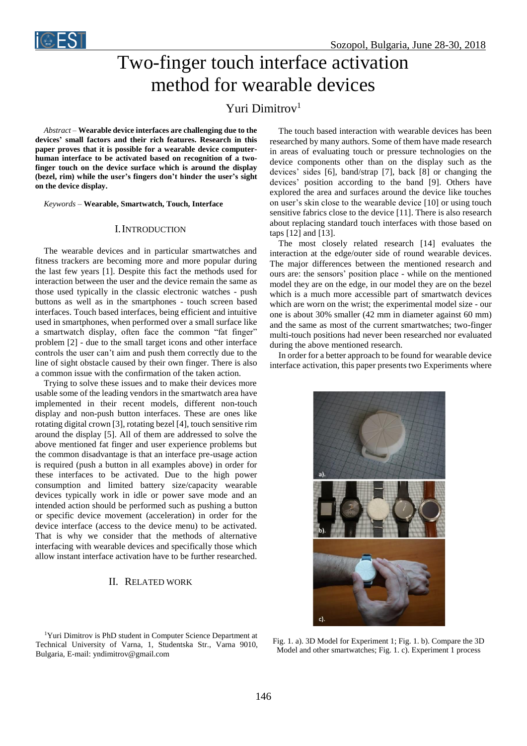

# Two-finger touch interface activation method for wearable devices

## Yuri Dimitrov<sup>1</sup>

*Abstract –* **Wearable device interfaces are challenging due to the devices' small factors and their rich features. Research in this paper proves that it is possible for a wearable device computerhuman interface to be activated based on recognition of a twofinger touch on the device surface which is around the display (bezel, rim) while the user's fingers don't hinder the user's sight on the device display.**

*Keywords –* **Wearable, Smartwatch, Touch, Interface**

#### I.INTRODUCTION

The wearable devices and in particular smartwatches and fitness trackers are becoming more and more popular during the last few years [1]. Despite this fact the methods used for interaction between the user and the device remain the same as those used typically in the classic electronic watches - push buttons as well as in the smartphones - touch screen based interfaces. Touch based interfaces, being efficient and intuitive used in smartphones, when performed over a small surface like a smartwatch display, often face the common "fat finger" problem [2] - due to the small target icons and other interface controls the user can't aim and push them correctly due to the line of sight obstacle caused by their own finger. There is also a common issue with the confirmation of the taken action.

Trying to solve these issues and to make their devices more usable some of the leading vendors in the smartwatch area have implemented in their recent models, different non-touch display and non-push button interfaces. These are ones like rotating digital crown [3], rotating bezel [4], touch sensitive rim around the display [5]. All of them are addressed to solve the above mentioned fat finger and user experience problems but the common disadvantage is that an interface pre-usage action is required (push a button in all examples above) in order for these interfaces to be activated. Due to the high power consumption and limited battery size/capacity wearable devices typically work in idle or power save mode and an intended action should be performed such as pushing a button or specific device movement (acceleration) in order for the device interface (access to the device menu) to be activated. That is why we consider that the methods of alternative interfacing with wearable devices and specifically those which allow instant interface activation have to be further researched.

#### II. RELATED WORK

<sup>1</sup>Yuri Dimitrov is PhD student in Computer Science Department at Technical University of Varna, 1, Studentska Str., Varna 9010, Bulgaria, E-mail: yndimitrov@gmail.com

The touch based interaction with wearable devices has been researched by many authors. Some of them have made research in areas of evaluating touch or pressure technologies on the device components other than on the display such as the devices' sides [6], band/strap [7], back [8] or changing the devices' position according to the band [9]. Others have explored the area and surfaces around the device like touches on user's skin close to the wearable device [10] or using touch sensitive fabrics close to the device [11]. There is also research about replacing standard touch interfaces with those based on taps [12] and [13].

The most closely related research [14] evaluates the interaction at the edge/outer side of round wearable devices. The major differences between the mentioned research and ours are: the sensors' position place - while on the mentioned model they are on the edge, in our model they are on the bezel which is a much more accessible part of smartwatch devices which are worn on the wrist; the experimental model size - our one is about 30% smaller (42 mm in diameter against 60 mm) and the same as most of the current smartwatches; two-finger multi-touch positions had never been researched nor evaluated during the above mentioned research.

In order for a better approach to be found for wearable device interface activation, this paper presents two Experiments where



Fig. 1. a). 3D Model for Experiment 1; Fig. 1. b). Compare the 3D Model and other smartwatches; Fig. 1. c). Experiment 1 process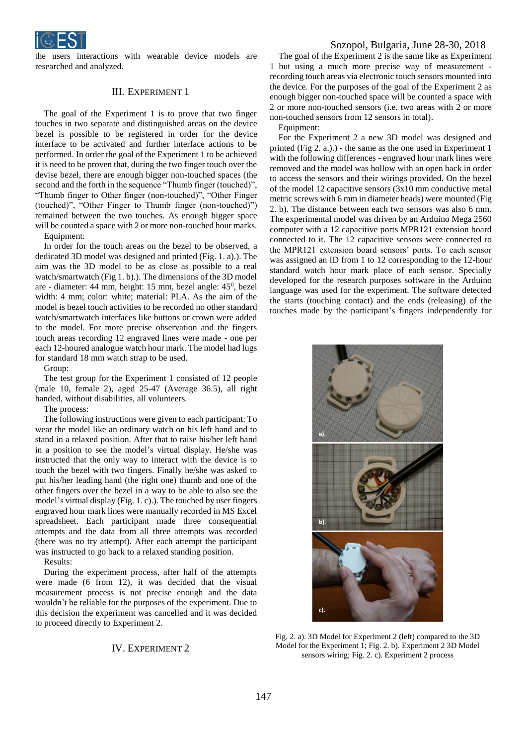

the users interactions with wearable device models are researched and analyzed.

#### III. EXPERIMENT 1

The goal of the Experiment 1 is to prove that two finger touches in two separate and distinguished areas on the device bezel is possible to be registered in order for the device interface to be activated and further interface actions to be performed. In order the goal of the Experiment 1 to be achieved it is need to be proven that, during the two finger touch over the devise bezel, there are enough bigger non-touched spaces (the second and the forth in the sequence "Thumb finger (touched)", "Thumb finger to Other finger (non-touched)", "Other Finger (touched)", "Other Finger to Thumb finger (non-touched)") remained between the two touches. As enough bigger space will be counted a space with 2 or more non-touched hour marks.

Equipment:

In order for the touch areas on the bezel to be observed, a dedicated 3D model was designed and printed (Fig. 1. a).). The aim was the 3D model to be as close as possible to a real watch/smartwatch (Fig 1. b).). The dimensions of the 3D model are - diameter: 44 mm, height: 15 mm, bezel angle: 45<sup>0</sup>, bezel width: 4 mm; color: white; material: PLA. As the aim of the model is bezel touch activities to be recorded no other standard watch/smartwatch interfaces like buttons or crown were added to the model. For more precise observation and the fingers touch areas recording 12 engraved lines were made - one per each 12-houred analogue watch hour mark. The model had lugs for standard 18 mm watch strap to be used.

Group:

The test group for the Experiment 1 consisted of 12 people (male 10, female 2), aged 25-47 (Average 36.5), all right handed, without disabilities, all volunteers.

The process:

The following instructions were given to each participant: To wear the model like an ordinary watch on his left hand and to stand in a relaxed position. After that to raise his/her left hand in a position to see the model's virtual display. He/she was instructed that the only way to interact with the device is to touch the bezel with two fingers. Finally he/she was asked to put his/her leading hand (the right one) thumb and one of the other fingers over the bezel in a way to be able to also see the model's virtual display (Fig. 1. c).). The touched by user fingers engraved hour mark lines were manually recorded in MS Excel spreadsheet. Each participant made three consequential attempts and the data from all three attempts was recorded (there was no try attempt). After each attempt the participant was instructed to go back to a relaxed standing position.

Results:

During the experiment process, after half of the attempts were made (6 from 12), it was decided that the visual measurement process is not precise enough and the data wouldn't be reliable for the purposes of the experiment. Due to this decision the experiment was cancelled and it was decided to proceed directly to Experiment 2.

### IV. EXPERIMENT 2

The goal of the Experiment 2 is the same like as Experiment 1 but using a much more precise way of measurement recording touch areas via electronic touch sensors mounted into the device. For the purposes of the goal of the Experiment 2 as enough bigger non-touched space will be counted a space with 2 or more non-touched sensors (i.e. two areas with 2 or more non-touched sensors from 12 sensors in total).

Equipment:

For the Experiment 2 a new 3D model was designed and printed (Fig 2. a.).) - the same as the one used in Experiment 1 with the following differences - engraved hour mark lines were removed and the model was hollow with an open back in order to access the sensors and their wirings provided. On the bezel of the model 12 capacitive sensors (3x10 mm conductive metal metric screws with 6 mm in diameter heads) were mounted (Fig 2. b). The distance between each two sensors was also 6 mm. The experimental model was driven by an Arduino Mega 2560 computer with a 12 capacitive ports MPR121 extension board connected to it. The 12 capacitive sensors were connected to the MPR121 extension board sensors' ports. To each sensor was assigned an ID from 1 to 12 corresponding to the 12-hour standard watch hour mark place of each sensor. Specially developed for the research purposes software in the Arduino language was used for the experiment. The software detected the starts (touching contact) and the ends (releasing) of the touches made by the participant's fingers independently for



Fig. 2. a). 3D Model for Experiment 2 (left) compared to the 3D Model for the Experiment 1; Fig. 2. b). Experiment 2 3D Model sensors wiring; Fig. 2. c). Experiment 2 process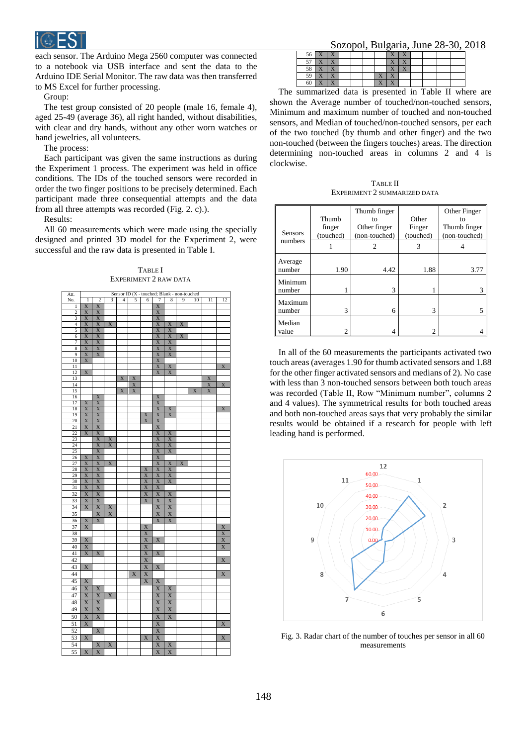

each sensor. The Arduino Mega 2560 computer was connected to a notebook via USB interface and sent the data to the Arduino IDE Serial Monitor. The raw data was then transferred to MS Excel for further processing.

Group:

The test group consisted of 20 people (male 16, female 4), aged 25-49 (average 36), all right handed, without disabilities, with clear and dry hands, without any other worn watches or hand jewelries, all volunteers.

The process:

Each participant was given the same instructions as during the Experiment 1 process. The experiment was held in office conditions. The IDs of the touched sensors were recorded in order the two finger positions to be precisely determined. Each participant made three consequential attempts and the data from all three attempts was recorded (Fig. 2. c).).

Results:

All 60 measurements which were made using the specially designed and printed 3D model for the Experiment 2, were successful and the raw data is presented in Table I.

 $T$ ADIEI EXPERIMENT 2 RAW DATA

| Att.            | Sensor ID (X - touched; Blank - non-touched |                         |                       |                |             |                         |                         |                         |                           |             |                           |                       |
|-----------------|---------------------------------------------|-------------------------|-----------------------|----------------|-------------|-------------------------|-------------------------|-------------------------|---------------------------|-------------|---------------------------|-----------------------|
| No.             | $\mathbf{1}$                                | $\overline{c}$          | 3                     | $\overline{4}$ | 5           | 6                       | 7                       | 8                       | 9                         | 10          | 11                        | 12                    |
| $\mathbf{1}$    | X                                           | X                       |                       |                |             |                         | X                       |                         |                           |             |                           |                       |
| $\overline{c}$  | X                                           | X                       |                       |                |             |                         | X                       |                         |                           |             |                           |                       |
| 3               | $\overline{X}$                              | $\overline{X}$          |                       |                |             |                         | $\overline{\mathbf{X}}$ |                         |                           |             |                           |                       |
| 4               | X                                           | X                       | $\mathbf X$           |                |             |                         | X                       | X                       | X                         |             |                           |                       |
| 5               | $\overline{X}$                              | $\overline{X}$          |                       |                |             |                         | $\overline{X}$          | $\overline{X}$          |                           |             |                           |                       |
|                 |                                             |                         |                       |                |             |                         |                         |                         |                           |             |                           |                       |
| 6               | X                                           | X                       |                       |                |             |                         | X                       | X                       | $\boldsymbol{\mathrm{X}}$ |             |                           |                       |
| 7               | $\overline{X}$                              | X                       |                       |                |             |                         | $\overline{\mathbf{X}}$ | X                       |                           |             |                           |                       |
| 8               | X                                           | $\overline{X}$          |                       |                |             |                         | $\overline{X}$          | $\overline{X}$          |                           |             |                           |                       |
| $\overline{9}$  | X                                           | X                       |                       |                |             |                         | X                       | X                       |                           |             |                           |                       |
| 10              | $\overline{\text{X}}$                       |                         |                       |                |             |                         | X                       |                         |                           |             |                           |                       |
| $\overline{11}$ |                                             |                         |                       |                |             |                         | $\overline{\mathbf{X}}$ | $\overline{X}$          |                           |             |                           | $\mathbf X$           |
| 12              | X                                           |                         |                       |                |             |                         | $\overline{X}$          | $\overline{X}$          |                           |             |                           |                       |
| 13              |                                             |                         |                       | $\bold{X}$     | $\mathbf X$ |                         |                         |                         |                           |             | $\boldsymbol{\mathrm{X}}$ |                       |
|                 |                                             |                         |                       |                |             |                         |                         |                         |                           |             |                           |                       |
| 14              |                                             |                         |                       |                | X           |                         |                         |                         |                           |             | X                         | X                     |
| 15              |                                             |                         |                       | $\mathbf X$    | $\mathbf X$ |                         |                         |                         |                           | $\mathbf X$ | $\boldsymbol{\mathrm{X}}$ |                       |
| 16              |                                             | $\overline{X}$          |                       |                |             |                         | $\overline{X}$          |                         |                           |             |                           |                       |
| 17              | $\overline{X}$                              | $\overline{X}$          |                       |                |             |                         | X                       |                         |                           |             |                           |                       |
| 18              | X                                           | X                       |                       |                |             |                         | X                       | X                       |                           |             |                           | X                     |
| 19              | $\overline{\text{X}}$                       | X                       |                       |                |             | $\overline{X}$          | X                       | $\overline{X}$          |                           |             |                           |                       |
| 20              | $\overline{\text{X}}$                       | X                       |                       |                |             | $\overline{\text{X}}$   | X                       |                         |                           |             |                           |                       |
| 21              | $\overline{\text{X}}$                       | $\overline{\text{X}}$   |                       |                |             |                         | X                       |                         |                           |             |                           |                       |
|                 |                                             |                         |                       |                |             |                         |                         |                         |                           |             |                           |                       |
| 22              | $\overline{\text{X}}$                       | X                       |                       |                |             |                         | X                       | X                       |                           |             |                           |                       |
| 23              |                                             | $\overline{\text{X}}$   | $\overline{X}$        |                |             |                         | X                       | X                       |                           |             |                           |                       |
| 24              |                                             | $\overline{\text{X}}$   | $\overline{X}$        |                |             |                         | X                       | X                       |                           |             |                           |                       |
| 25              |                                             | $\overline{\text{X}}$   |                       |                |             |                         | X                       | X                       |                           |             |                           |                       |
| 26              | X                                           | $\overline{X}$          |                       |                |             |                         | X                       |                         |                           |             |                           |                       |
| 27              | $\overline{\text{X}}$                       | X                       | $\mathbf X$           |                |             |                         | X                       |                         | $\mathbf X$               |             |                           |                       |
| 28              | $\overline{X}$                              | X                       |                       |                |             | X                       | $\overline{X}$          | $\frac{X}{X}$           |                           |             |                           |                       |
| 29              | $\overline{\mathbf{X}}$                     |                         |                       |                |             | $\overline{\mathbf{X}}$ | $\overline{\mathbf{X}}$ | $\overline{\text{X}}$   |                           |             |                           |                       |
|                 |                                             | X                       |                       |                |             |                         |                         |                         |                           |             |                           |                       |
| 30              | $\frac{X}{X}$                               | X                       |                       |                |             | X                       | X                       | X                       |                           |             |                           |                       |
| 31              |                                             | X                       |                       |                |             | $\overline{X}$          | X                       |                         |                           |             |                           |                       |
| 32              | $\overline{X}$                              | $\overline{X}$          |                       |                |             | $\overline{X}$          | $\overline{X}$          | $\mathbf X$             |                           |             |                           |                       |
| 33              | X                                           | X                       |                       |                |             | X                       | X                       | X                       |                           |             |                           |                       |
| 34              | $\overline{\text{X}}$                       | X                       | X                     |                |             |                         | X                       | X                       |                           |             |                           |                       |
|                 |                                             |                         |                       |                |             |                         |                         |                         |                           |             |                           |                       |
| 35              |                                             | $\overline{X}$          | $\mathbf X$           |                |             |                         | $\overline{X}$          | $\overline{\mathrm{X}}$ |                           |             |                           |                       |
| 36              | $\overline{X}$                              | $\overline{\text{X}}$   |                       |                |             |                         | $\overline{\text{X}}$   | X                       |                           |             |                           |                       |
| 37              | $\overline{X}$                              |                         |                       |                |             | X                       |                         |                         |                           |             |                           | X                     |
| 38              |                                             |                         |                       |                |             | $\overline{X}$          |                         |                         |                           |             |                           | $\overline{X}$        |
| 39              | $\overline{X}$                              |                         |                       |                |             | X                       | $\overline{\text{X}}$   |                         |                           |             |                           | X                     |
|                 |                                             |                         |                       |                |             |                         |                         |                         |                           |             |                           |                       |
| 40              | $\overline{X}$                              |                         |                       |                |             | $\overline{X}$          |                         |                         |                           |             |                           | $\overline{\text{X}}$ |
| 41              | $\mathbf X$                                 | $\overline{\textbf{X}}$ |                       |                |             | $\overline{\mathbf{X}}$ | $\mathbf X$             |                         |                           |             |                           |                       |
| 42              |                                             |                         |                       |                |             | $\overline{X}$          |                         |                         |                           |             |                           | $\overline{\text{X}}$ |
| 43              | $\overline{X}$                              |                         |                       |                |             | $\overline{\text{X}}$   | $\overline{\text{X}}$   |                         |                           |             |                           |                       |
|                 |                                             |                         |                       |                |             |                         |                         |                         |                           |             |                           |                       |
| 44              |                                             |                         |                       |                | X           | X                       |                         |                         |                           |             |                           | $\overline{\text{X}}$ |
| 45              | $\overline{X}$                              |                         |                       |                |             | $\overline{\text{X}}$   | $\overline{X}$          |                         |                           |             |                           |                       |
|                 | $\overline{\text{X}}$                       | $\overline{\text{X}}$   |                       |                |             |                         | $\overline{\text{X}}$   |                         |                           |             |                           |                       |
| 46              |                                             |                         |                       |                |             |                         |                         | X                       |                           |             |                           |                       |
| 47              | $\overline{\text{X}}$                       | X                       | $\overline{\text{X}}$ |                |             |                         | $\overline{\text{X}}$   | $\overline{\text{X}}$   |                           |             |                           |                       |
| 48              | $\overline{X}$                              | $\overline{X}$          |                       |                |             |                         | $\overline{\text{X}}$   | $\overline{X}$          |                           |             |                           |                       |
| 49              | $\overline{X}$                              | $\overline{X}$          |                       |                |             |                         | $\overline{X}$          | $\overline{X}$          |                           |             |                           |                       |
|                 |                                             |                         |                       |                |             |                         |                         |                         |                           |             |                           |                       |
| 50              | $\overline{\text{X}}$                       | $\overline{\text{X}}$   |                       |                |             |                         | $\overline{\text{X}}$   | $\overline{\text{X}}$   |                           |             |                           |                       |
| 51              | $\overline{X}$                              |                         |                       |                |             |                         | X                       |                         |                           |             |                           | X                     |
| 52              |                                             | $\overline{X}$          |                       |                |             |                         | $\overline{X}$          |                         |                           |             |                           |                       |
|                 |                                             |                         |                       |                |             |                         |                         |                         |                           |             |                           |                       |
| 53              | X                                           |                         |                       |                |             | $\overline{X}$          | $\mathbf X$             |                         |                           |             |                           | $\overline{\text{X}}$ |
| 54              |                                             | $\overline{\text{X}}$   | $\overline{X}$        |                |             |                         | $\overline{\text{X}}$   | $\overline{X}$          |                           |             |                           |                       |
| 55              | $\overline{X}$                              | $\overline{X}$          |                       |                |             |                         | $\overline{\text{X}}$   | $\overline{X}$          |                           |             |                           |                       |
|                 |                                             |                         |                       |                |             |                         |                         |                         |                           |             |                           |                       |

Sozopol, Bulgaria, June 28-30, 2018

| 56             | $\overline{\mathbf{v}}$<br>zx | $\overline{\mathbf{x}}$ |  |                         | $\overline{\mathbf{x}}$<br>z | $\mathbf{v}$            |  |  |
|----------------|-------------------------------|-------------------------|--|-------------------------|------------------------------|-------------------------|--|--|
| --             | $\overline{\mathbf{x}}$       | $\overline{\mathbf{x}}$ |  |                         | $\overline{\mathbf{x}}$      | $\mathbf{x}$            |  |  |
| $\tau$ o<br>эδ | $\overline{\mathbf{x}}$<br>za | $\overline{\mathbf{x}}$ |  |                         | $\overline{\mathbf{x}}$      | $\overline{\mathbf{x}}$ |  |  |
| 59             | $\overline{\mathbf{x}}$       | $\overline{\mathbf{x}}$ |  | v y                     | x y                          |                         |  |  |
| 60             | $\overline{\mathbf{x}}$<br>Δ  | $\overline{\mathbf{x}}$ |  | $\overline{\mathbf{x}}$ |                              |                         |  |  |

The summarized data is presented in Table II where are shown the Average number of touched/non-touched sensors, Minimum and maximum number of touched and non-touched sensors, and Median of touched/non-touched sensors, per each of the two touched (by thumb and other finger) and the two non-touched (between the fingers touches) areas. The direction determining non-touched areas in columns 2 and 4 is clockwise.

**TABLE II** EXPERIMENT 2 SUMMARIZED DATA

| <b>Sensors</b>    | Thumb<br>finger<br>(touched) | Thumb finger<br>to<br>Other finger<br>(non-touched) | Other<br>Finger<br>(touched) | Other Finger<br>to<br>Thumb finger<br>(non-touched) |  |
|-------------------|------------------------------|-----------------------------------------------------|------------------------------|-----------------------------------------------------|--|
| numbers           |                              | 2                                                   | 3                            |                                                     |  |
| Average<br>number | 1.90                         | 4.42                                                | 1.88                         | 3.77                                                |  |
| Minimum<br>number |                              | 3                                                   |                              | 3                                                   |  |
| Maximum<br>number | 3                            | 6                                                   | 3                            | 5                                                   |  |
| Median<br>value   | $\mathfrak{D}$               | 4                                                   | 2                            |                                                     |  |

In all of the 60 measurements the participants activated two touch areas (averages 1.90 for thumb activated sensors and 1.88 for the other finger activated sensors and medians of 2). No case with less than 3 non-touched sensors between both touch areas was recorded (Table II, Row "Minimum number", columns 2 and 4 values). The symmetrical results for both touched areas and both non-touched areas says that very probably the similar results would be obtained if a research for people with left leading hand is performed.



Fig. 3. Radar chart of the number of touches per sensor in all 60 measurements